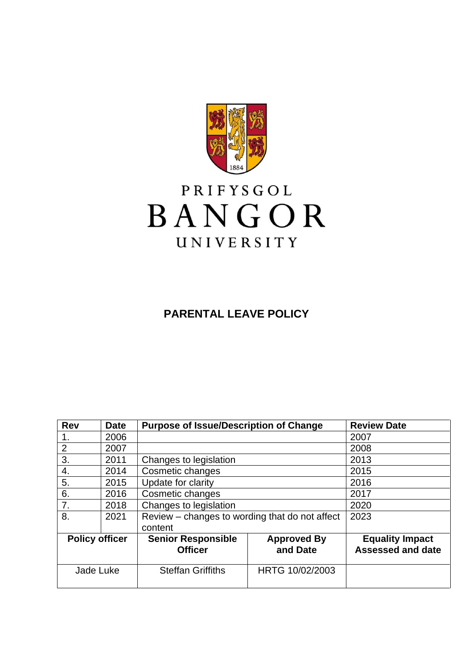

# PRIFYSGOL BANGOR UNIVERSITY

## **PARENTAL LEAVE POLICY**

| <b>Rev</b>            | <b>Date</b> | <b>Purpose of Issue/Description of Change</b>  |                                | <b>Review Date</b>                                 |
|-----------------------|-------------|------------------------------------------------|--------------------------------|----------------------------------------------------|
|                       | 2006        |                                                |                                | 2007                                               |
| $\overline{2}$        | 2007        |                                                |                                | 2008                                               |
| 3.                    | 2011        | Changes to legislation                         |                                | 2013                                               |
| 4.                    | 2014        | Cosmetic changes                               |                                | 2015                                               |
| 5.                    | 2015        | Update for clarity                             |                                | 2016                                               |
| 6.                    | 2016        | Cosmetic changes                               |                                | 2017                                               |
| 7.                    | 2018        | Changes to legislation                         |                                | 2020                                               |
| 8.                    | 2021        | Review – changes to wording that do not affect |                                | 2023                                               |
|                       |             | content                                        |                                |                                                    |
| <b>Policy officer</b> |             | <b>Senior Responsible</b><br><b>Officer</b>    | <b>Approved By</b><br>and Date | <b>Equality Impact</b><br><b>Assessed and date</b> |
| Jade Luke             |             | <b>Steffan Griffiths</b>                       | HRTG 10/02/2003                |                                                    |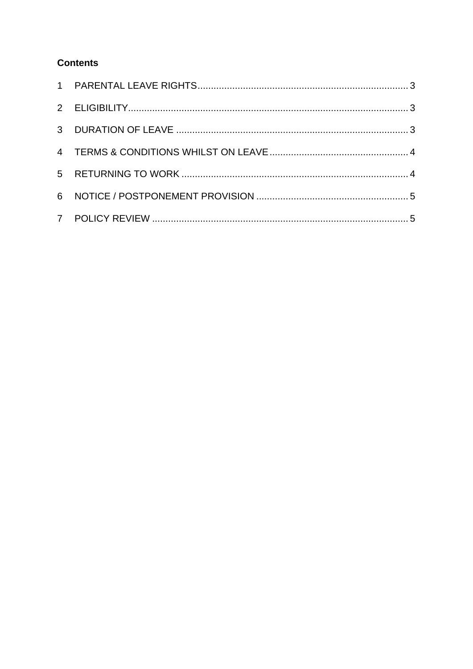### **Contents**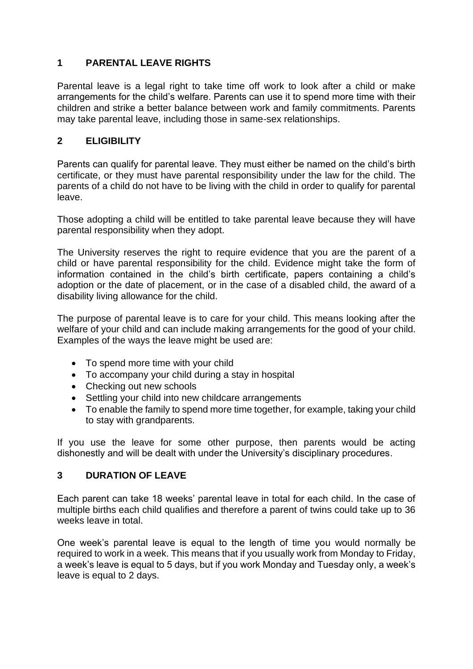#### <span id="page-2-0"></span>**1 PARENTAL LEAVE RIGHTS**

Parental leave is a legal right to take time off work to look after a child or make arrangements for the child's welfare. Parents can use it to spend more time with their children and strike a better balance between work and family commitments. Parents may take parental leave, including those in same-sex relationships.

#### <span id="page-2-1"></span>**2 ELIGIBILITY**

Parents can qualify for parental leave. They must either be named on the child's birth certificate, or they must have parental responsibility under the law for the child. The parents of a child do not have to be living with the child in order to qualify for parental leave.

Those adopting a child will be entitled to take parental leave because they will have parental responsibility when they adopt.

The University reserves the right to require evidence that you are the parent of a child or have parental responsibility for the child. Evidence might take the form of information contained in the child's birth certificate, papers containing a child's adoption or the date of placement, or in the case of a disabled child, the award of a disability living allowance for the child.

The purpose of parental leave is to care for your child. This means looking after the welfare of your child and can include making arrangements for the good of your child. Examples of the ways the leave might be used are:

- To spend more time with your child
- To accompany your child during a stay in hospital
- Checking out new schools
- Settling your child into new childcare arrangements
- To enable the family to spend more time together, for example, taking your child to stay with grandparents.

If you use the leave for some other purpose, then parents would be acting dishonestly and will be dealt with under the University's disciplinary procedures.

#### <span id="page-2-2"></span>**3 DURATION OF LEAVE**

Each parent can take 18 weeks' parental leave in total for each child. In the case of multiple births each child qualifies and therefore a parent of twins could take up to 36 weeks leave in total.

One week's parental leave is equal to the length of time you would normally be required to work in a week. This means that if you usually work from Monday to Friday, a week's leave is equal to 5 days, but if you work Monday and Tuesday only, a week's leave is equal to 2 days.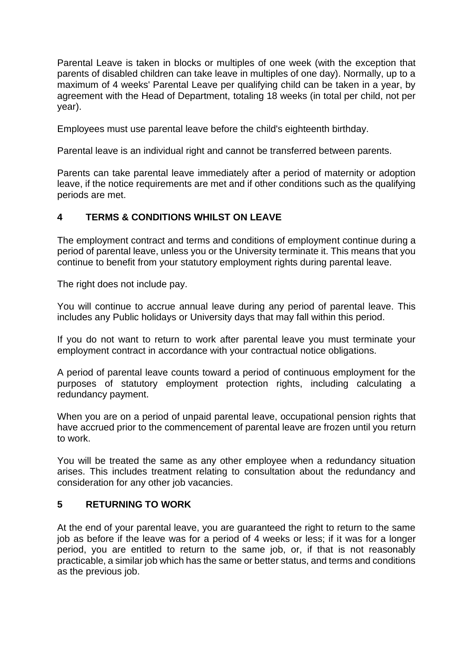Parental Leave is taken in blocks or multiples of one week (with the exception that parents of disabled children can take leave in multiples of one day). Normally, up to a maximum of 4 weeks' Parental Leave per qualifying child can be taken in a year, by agreement with the Head of Department, totaling 18 weeks (in total per child, not per year).

Employees must use parental leave before the child's eighteenth birthday.

Parental leave is an individual right and cannot be transferred between parents.

Parents can take parental leave immediately after a period of maternity or adoption leave, if the notice requirements are met and if other conditions such as the qualifying periods are met.

#### <span id="page-3-0"></span>**4 TERMS & CONDITIONS WHILST ON LEAVE**

The employment contract and terms and conditions of employment continue during a period of parental leave, unless you or the University terminate it. This means that you continue to benefit from your statutory employment rights during parental leave.

The right does not include pay.

You will continue to accrue annual leave during any period of parental leave. This includes any Public holidays or University days that may fall within this period.

If you do not want to return to work after parental leave you must terminate your employment contract in accordance with your contractual notice obligations.

A period of parental leave counts toward a period of continuous employment for the purposes of statutory employment protection rights, including calculating a redundancy payment.

When you are on a period of unpaid parental leave, occupational pension rights that have accrued prior to the commencement of parental leave are frozen until you return to work.

You will be treated the same as any other employee when a redundancy situation arises. This includes treatment relating to consultation about the redundancy and consideration for any other job vacancies.

#### <span id="page-3-1"></span>**5 RETURNING TO WORK**

At the end of your parental leave, you are guaranteed the right to return to the same job as before if the leave was for a period of 4 weeks or less; if it was for a longer period, you are entitled to return to the same job, or, if that is not reasonably practicable, a similar job which has the same or better status, and terms and conditions as the previous job.